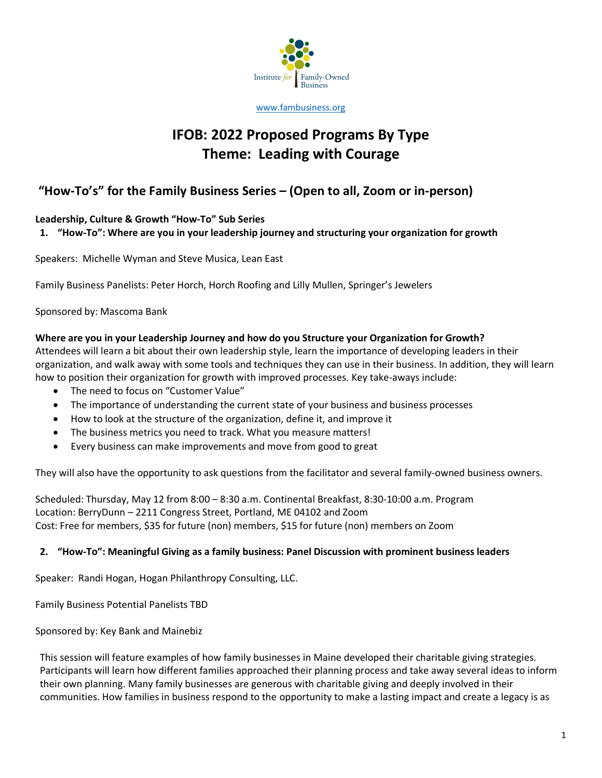

www.fambusiness.org

# **IFOB: 2022 Proposed Programs By Type Theme: Leading with Courage**

# **"How-To's" for the Family Business Series – (Open to all, Zoom or in-person)**

# **Leadership, Culture & Growth "How-To" Sub Series**

# **1. "How-To": Where are you in your leadership journey and structuring your organization for growth**

Speakers: Michelle Wyman and Steve Musica, Lean East

Family Business Panelists: Peter Horch, Horch Roofing and Lilly Mullen, Springer's Jewelers

Sponsored by: Mascoma Bank

### **Where are you in your Leadership Journey and how do you Structure your Organization for Growth?**

Attendees will learn a bit about their own leadership style, learn the importance of developing leaders in their organization, and walk away with some tools and techniques they can use in their business. In addition, they will learn how to position their organization for growth with improved processes. Key take-aways include:

- The need to focus on "Customer Value"
- The importance of understanding the current state of your business and business processes
- How to look at the structure of the organization, define it, and improve it
- The business metrics you need to track. What you measure matters!
- Every business can make improvements and move from good to great

They will also have the opportunity to ask questions from the facilitator and several family-owned business owners.

Scheduled: Thursday, May 12 from 8:00 – 8:30 a.m. Continental Breakfast, 8:30-10:00 a.m. Program Location: BerryDunn – 2211 Congress Street, Portland, ME 04102 and Zoom Cost: Free for members, \$35 for future (non) members, \$15 for future (non) members on Zoom

### **2. "How-To": Meaningful Giving as a family business: Panel Discussion with prominent business leaders**

Speaker: Randi Hogan, Hogan Philanthropy Consulting, LLC.

Family Business Potential Panelists TBD

Sponsored by: Key Bank and Mainebiz

This session will feature examples of how family businesses in Maine developed their charitable giving strategies. Participants will learn how different families approached their planning process and take away several ideas to inform their own planning. Many family businesses are generous with charitable giving and deeply involved in their communities. How families in business respond to the opportunity to make a lasting impact and create a legacy is as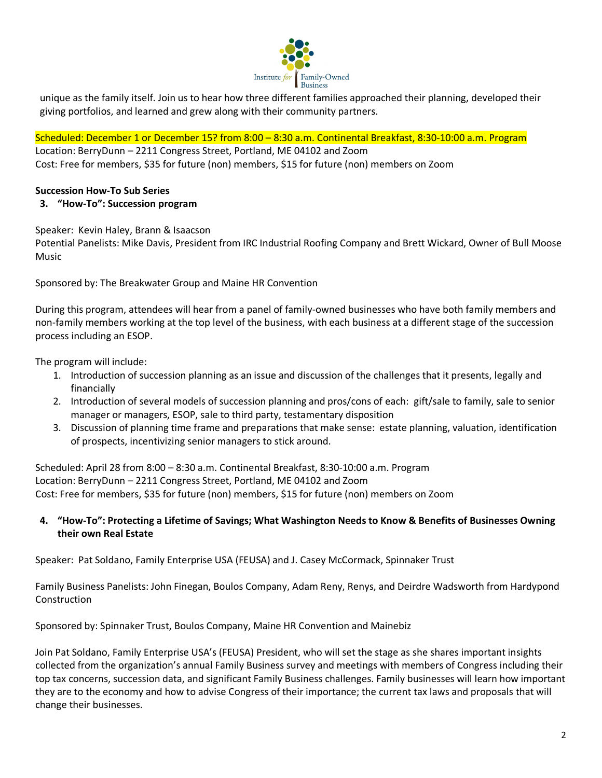

unique as the family itself. Join us to hear how three different families approached their planning, developed their giving portfolios, and learned and grew along with their community partners.

Scheduled: December 1 or December 15? from 8:00 – 8:30 a.m. Continental Breakfast, 8:30-10:00 a.m. Program

Location: BerryDunn – 2211 Congress Street, Portland, ME 04102 and Zoom Cost: Free for members, \$35 for future (non) members, \$15 for future (non) members on Zoom

# **Succession How-To Sub Series**

### **3. "How-To": Succession program**

Speaker: Kevin Haley, Brann & Isaacson

Potential Panelists: Mike Davis, President from IRC Industrial Roofing Company and Brett Wickard, Owner of Bull Moose Music

Sponsored by: The Breakwater Group and Maine HR Convention

During this program, attendees will hear from a panel of family-owned businesses who have both family members and non-family members working at the top level of the business, with each business at a different stage of the succession process including an ESOP.

The program will include:

- 1. Introduction of succession planning as an issue and discussion of the challenges that it presents, legally and financially
- 2. Introduction of several models of succession planning and pros/cons of each: gift/sale to family, sale to senior manager or managers, ESOP, sale to third party, testamentary disposition
- 3. Discussion of planning time frame and preparations that make sense: estate planning, valuation, identification of prospects, incentivizing senior managers to stick around.

Scheduled: April 28 from 8:00 – 8:30 a.m. Continental Breakfast, 8:30-10:00 a.m. Program Location: BerryDunn – 2211 Congress Street, Portland, ME 04102 and Zoom Cost: Free for members, \$35 for future (non) members, \$15 for future (non) members on Zoom

**4. "How-To": Protecting a Lifetime of Savings; What Washington Needs to Know & Benefits of Businesses Owning their own Real Estate**

Speaker: Pat Soldano, Family Enterprise USA (FEUSA) and J. Casey McCormack, Spinnaker Trust

Family Business Panelists: John Finegan, Boulos Company, Adam Reny, Renys, and Deirdre Wadsworth from Hardypond **Construction** 

Sponsored by: Spinnaker Trust, Boulos Company, Maine HR Convention and Mainebiz

Join Pat Soldano, Family Enterprise USA's (FEUSA) President, who will set the stage as she shares important insights collected from the organization's annual Family Business survey and meetings with members of Congress including their top tax concerns, succession data, and significant Family Business challenges. Family businesses will learn how important they are to the economy and how to advise Congress of their importance; the current tax laws and proposals that will change their businesses.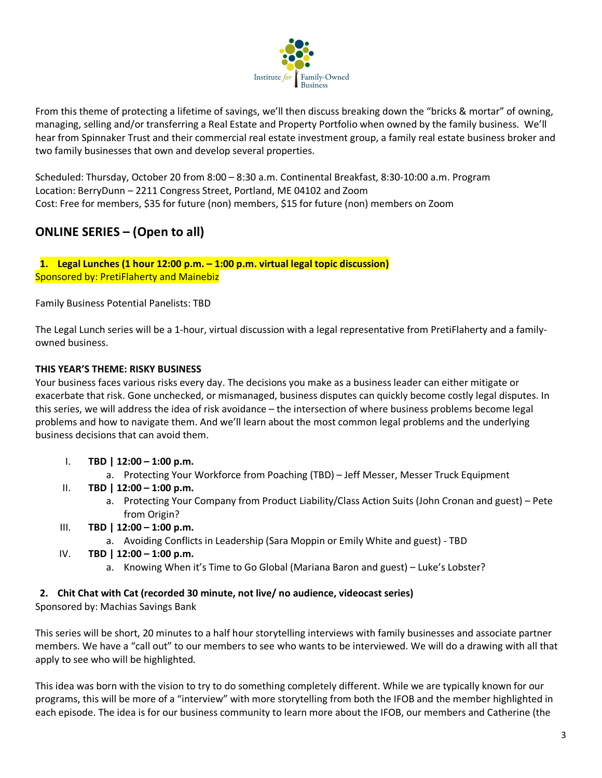

From this theme of protecting a lifetime of savings, we'll then discuss breaking down the "bricks & mortar" of owning, managing, selling and/or transferring a Real Estate and Property Portfolio when owned by the family business. We'll hear from Spinnaker Trust and their commercial real estate investment group, a family real estate business broker and two family businesses that own and develop several properties.

Scheduled: Thursday, October 20 from 8:00 – 8:30 a.m. Continental Breakfast, 8:30-10:00 a.m. Program Location: BerryDunn – 2211 Congress Street, Portland, ME 04102 and Zoom Cost: Free for members, \$35 for future (non) members, \$15 for future (non) members on Zoom

# **ONLINE SERIES – (Open to all)**

**1. Legal Lunches (1 hour 12:00 p.m. – 1:00 p.m. virtual legal topic discussion)** Sponsored by: PretiFlaherty and Mainebiz

Family Business Potential Panelists: TBD

The Legal Lunch series will be a 1-hour, virtual discussion with a legal representative from PretiFlaherty and a familyowned business.

# **THIS YEAR'S THEME: RISKY BUSINESS**

Your business faces various risks every day. The decisions you make as a business leader can either mitigate or exacerbate that risk. Gone unchecked, or mismanaged, business disputes can quickly become costly legal disputes. In this series, we will address the idea of risk avoidance – the intersection of where business problems become legal problems and how to navigate them. And we'll learn about the most common legal problems and the underlying business decisions that can avoid them.

- I. **TBD | 12:00 – 1:00 p.m.**
	- a. Protecting Your Workforce from Poaching (TBD) Jeff Messer, Messer Truck Equipment
- II. **TBD | 12:00 – 1:00 p.m.**
	- a. Protecting Your Company from Product Liability/Class Action Suits (John Cronan and guest) Pete from Origin?
- III. **TBD | 12:00 – 1:00 p.m.**
	- a. Avoiding Conflicts in Leadership (Sara Moppin or Emily White and guest) TBD
- IV. **TBD | 12:00 – 1:00 p.m.**
	- a. Knowing When it's Time to Go Global (Mariana Baron and guest) Luke's Lobster?

### **2. Chit Chat with Cat (recorded 30 minute, not live/ no audience, videocast series)**

Sponsored by: Machias Savings Bank

This series will be short, 20 minutes to a half hour storytelling interviews with family businesses and associate partner members. We have a "call out" to our members to see who wants to be interviewed. We will do a drawing with all that apply to see who will be highlighted.

This idea was born with the vision to try to do something completely different. While we are typically known for our programs, this will be more of a "interview" with more storytelling from both the IFOB and the member highlighted in each episode. The idea is for our business community to learn more about the IFOB, our members and Catherine (the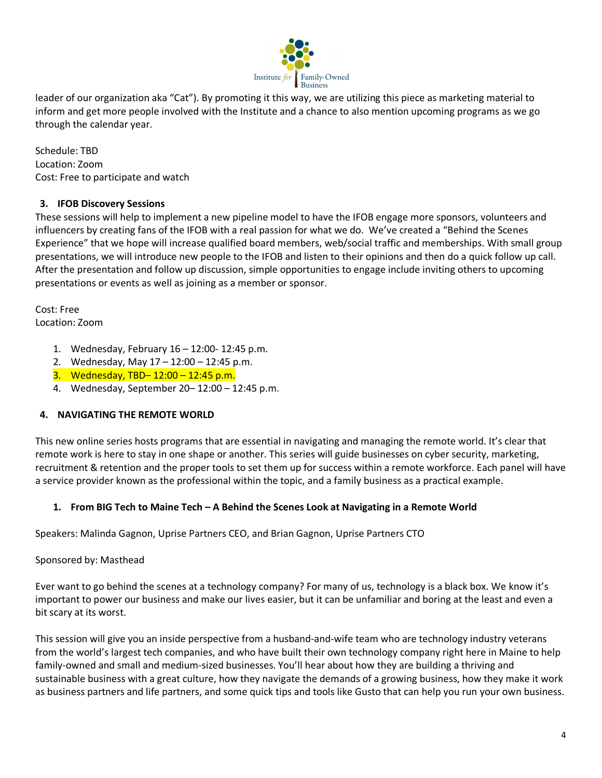

leader of our organization aka "Cat"). By promoting it this way, we are utilizing this piece as marketing material to inform and get more people involved with the Institute and a chance to also mention upcoming programs as we go through the calendar year.

Schedule: TBD Location: Zoom Cost: Free to participate and watch

# **3. IFOB Discovery Sessions**

These sessions will help to implement a new pipeline model to have the IFOB engage more sponsors, volunteers and influencers by creating fans of the IFOB with a real passion for what we do. We've created a "Behind the Scenes Experience" that we hope will increase qualified board members, web/social traffic and memberships. With small group presentations, we will introduce new people to the IFOB and listen to their opinions and then do a quick follow up call. After the presentation and follow up discussion, simple opportunities to engage include inviting others to upcoming presentations or events as well as joining as a member or sponsor.

Cost: Free Location: Zoom

- 1. Wednesday, February 16 12:00- 12:45 p.m.
- 2. Wednesday, May 17 12:00 12:45 p.m.
- 3. Wednesday, TBD– 12:00 12:45 p.m.
- 4. Wednesday, September 20– 12:00 12:45 p.m.

# **4. NAVIGATING THE REMOTE WORLD**

This new online series hosts programs that are essential in navigating and managing the remote world. It's clear that remote work is here to stay in one shape or another. This series will guide businesses on cyber security, marketing, recruitment & retention and the proper tools to set them up for success within a remote workforce. Each panel will have a service provider known as the professional within the topic, and a family business as a practical example.

# **1. From BIG Tech to Maine Tech – A Behind the Scenes Look at Navigating in a Remote World**

Speakers: Malinda Gagnon, Uprise Partners CEO, and Brian Gagnon, Uprise Partners CTO

Sponsored by: Masthead

Ever want to go behind the scenes at a technology company? For many of us, technology is a black box. We know it's important to power our business and make our lives easier, but it can be unfamiliar and boring at the least and even a bit scary at its worst.

This session will give you an inside perspective from a husband-and-wife team who are technology industry veterans from the world's largest tech companies, and who have built their own technology company right here in Maine to help family-owned and small and medium-sized businesses. You'll hear about how they are building a thriving and sustainable business with a great culture, how they navigate the demands of a growing business, how they make it work as business partners and life partners, and some quick tips and tools like Gusto that can help you run your own business.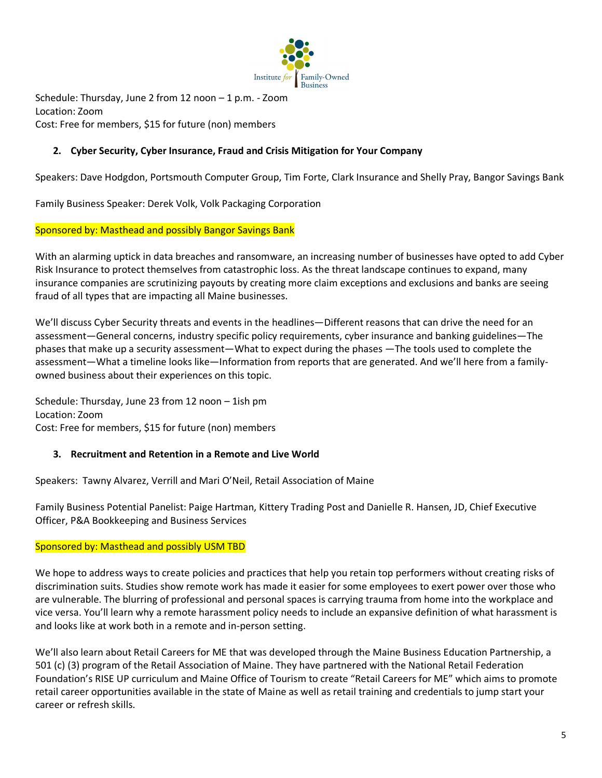

Schedule: Thursday, June 2 from 12 noon – 1 p.m. - Zoom Location: Zoom Cost: Free for members, \$15 for future (non) members

# **2. Cyber Security, Cyber Insurance, Fraud and Crisis Mitigation for Your Company**

Speakers: Dave Hodgdon, Portsmouth Computer Group, Tim Forte, Clark Insurance and Shelly Pray, Bangor Savings Bank

Family Business Speaker: Derek Volk, Volk Packaging Corporation

### Sponsored by: Masthead and possibly Bangor Savings Bank

With an alarming uptick in data breaches and ransomware, an increasing number of businesses have opted to add Cyber Risk Insurance to protect themselves from catastrophic loss. As the threat landscape continues to expand, many insurance companies are scrutinizing payouts by creating more claim exceptions and exclusions and banks are seeing fraud of all types that are impacting all Maine businesses.

We'll discuss Cyber Security threats and events in the headlines—Different reasons that can drive the need for an assessment—General concerns, industry specific policy requirements, cyber insurance and banking guidelines—The phases that make up a security assessment—What to expect during the phases —The tools used to complete the assessment—What a timeline looks like—Information from reports that are generated. And we'll here from a familyowned business about their experiences on this topic.

Schedule: Thursday, June 23 from 12 noon – 1ish pm Location: Zoom Cost: Free for members, \$15 for future (non) members

# **3. Recruitment and Retention in a Remote and Live World**

Speakers: Tawny Alvarez, Verrill and Mari O'Neil, Retail Association of Maine

Family Business Potential Panelist: Paige Hartman, Kittery Trading Post and Danielle R. Hansen, JD, Chief Executive Officer, P&A Bookkeeping and Business Services

### Sponsored by: Masthead and possibly USM TBD

We hope to address ways to create policies and practices that help you retain top performers without creating risks of discrimination suits. Studies show remote work has made it easier for some employees to exert power over those who are vulnerable. The blurring of professional and personal spaces is carrying trauma from home into the workplace and vice versa. You'll learn why a remote harassment policy needs to include an expansive definition of what harassment is and looks like at work both in a remote and in-person setting.

We'll also learn about Retail Careers for ME that was developed through the Maine Business Education Partnership, a 501 (c) (3) program of the Retail Association of Maine. They have partnered with the National Retail Federation Foundation's RISE UP curriculum and Maine Office of Tourism to create "Retail Careers for ME" which aims to promote retail career opportunities available in the state of Maine as well as retail training and credentials to jump start your career or refresh skills.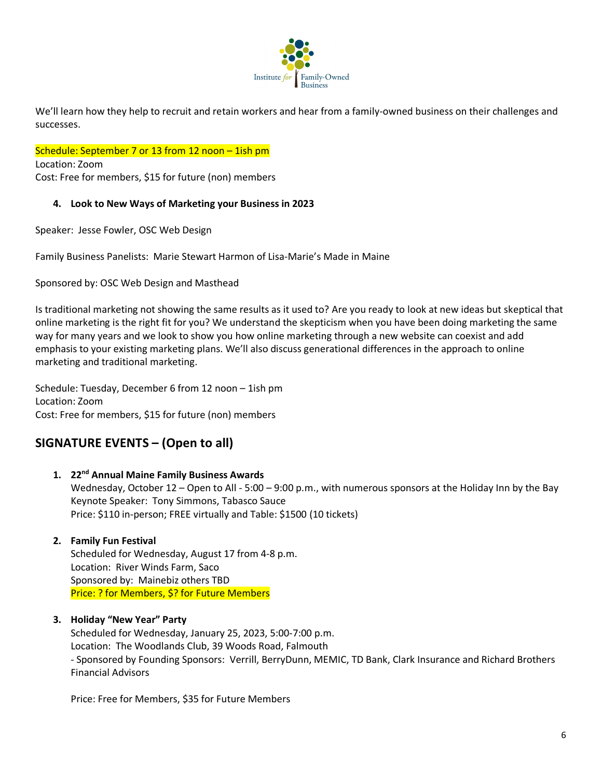

We'll learn how they help to recruit and retain workers and hear from a family-owned business on their challenges and successes.

Schedule: September 7 or 13 from 12 noon - 1ish pm

Location: Zoom Cost: Free for members, \$15 for future (non) members

### **4. Look to New Ways of Marketing your Business in 2023**

Speaker: Jesse Fowler, OSC Web Design

Family Business Panelists: Marie Stewart Harmon of Lisa-Marie's Made in Maine

Sponsored by: OSC Web Design and Masthead

Is traditional marketing not showing the same results as it used to? Are you ready to look at new ideas but skeptical that online marketing is the right fit for you? We understand the skepticism when you have been doing marketing the same way for many years and we look to show you how online marketing through a new website can coexist and add emphasis to your existing marketing plans. We'll also discuss generational differences in the approach to online marketing and traditional marketing.

Schedule: Tuesday, December 6 from 12 noon – 1ish pm Location: Zoom Cost: Free for members, \$15 for future (non) members

# **SIGNATURE EVENTS – (Open to all)**

**1. 22nd Annual Maine Family Business Awards**  Wednesday, October 12 – Open to All - 5:00 – 9:00 p.m., with numerous sponsors at the Holiday Inn by the Bay Keynote Speaker: Tony Simmons, Tabasco Sauce Price: \$110 in-person; FREE virtually and Table: \$1500 (10 tickets)

# **2. Family Fun Festival**

Scheduled for Wednesday, August 17 from 4-8 p.m. Location: River Winds Farm, Saco Sponsored by: Mainebiz others TBD Price: ? for Members, \$? for Future Members

# **3. Holiday "New Year" Party**

Scheduled for Wednesday, January 25, 2023, 5:00-7:00 p.m. Location: The Woodlands Club, 39 Woods Road, Falmouth - Sponsored by Founding Sponsors: Verrill, BerryDunn, MEMIC, TD Bank, Clark Insurance and Richard Brothers Financial Advisors

Price: Free for Members, \$35 for Future Members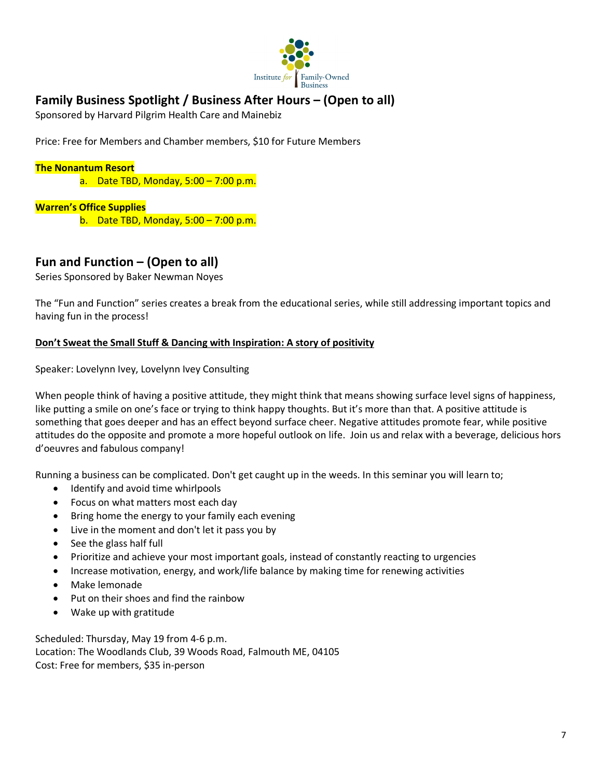

# **Family Business Spotlight / Business After Hours – (Open to all)**

Sponsored by Harvard Pilgrim Health Care and Mainebiz

Price: Free for Members and Chamber members, \$10 for Future Members

### **The Nonantum Resort**

a. Date TBD, Monday, 5:00 – 7:00 p.m.

### **Warren's Office Supplies**

b. Date TBD, Monday, 5:00 – 7:00 p.m.

# **Fun and Function – (Open to all)**

Series Sponsored by Baker Newman Noyes

The "Fun and Function" series creates a break from the educational series, while still addressing important topics and having fun in the process!

### **Don't Sweat the Small Stuff & Dancing with Inspiration: A story of positivity**

Speaker: Lovelynn Ivey, Lovelynn Ivey Consulting

When people think of having a positive attitude, they might think that means showing surface level signs of happiness, like putting a smile on one's face or trying to think happy thoughts. But it's more than that. A positive attitude is something that goes deeper and has an effect beyond surface cheer. Negative attitudes promote fear, while positive attitudes do the opposite and promote a more hopeful outlook on life. Join us and relax with a beverage, delicious hors d'oeuvres and fabulous company!

Running a business can be complicated. Don't get caught up in the weeds. In this seminar you will learn to;

- Identify and avoid time whirlpools
- Focus on what matters most each day
- Bring home the energy to your family each evening
- Live in the moment and don't let it pass you by
- See the glass half full
- Prioritize and achieve your most important goals, instead of constantly reacting to urgencies
- Increase motivation, energy, and work/life balance by making time for renewing activities
- Make lemonade
- Put on their shoes and find the rainbow
- Wake up with gratitude

Scheduled: Thursday, May 19 from 4-6 p.m. Location: The Woodlands Club, 39 Woods Road, Falmouth ME, 04105 Cost: Free for members, \$35 in-person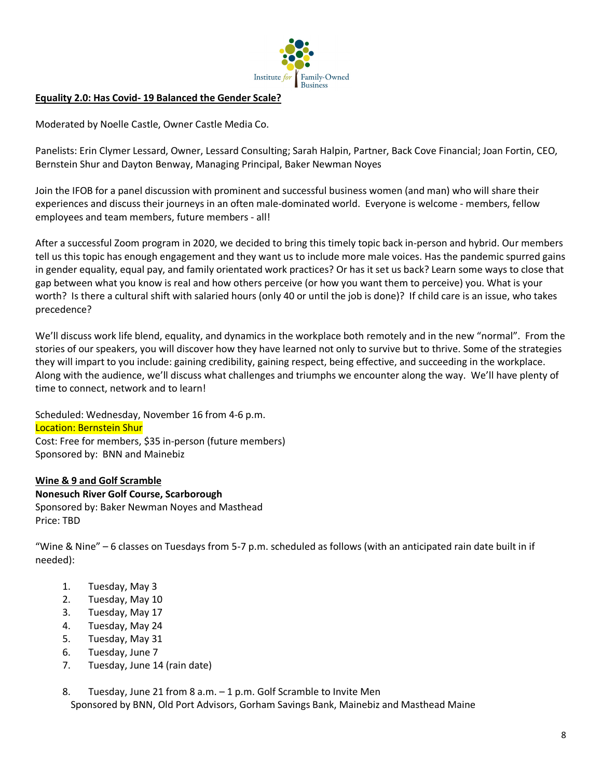

### **Equality 2.0: Has Covid- 19 Balanced the Gender Scale?**

Moderated by Noelle Castle, Owner Castle Media Co.

Panelists: Erin Clymer Lessard, Owner, Lessard Consulting; Sarah Halpin, Partner, Back Cove Financial; Joan Fortin, CEO, Bernstein Shur and Dayton Benway, Managing Principal, Baker Newman Noyes

Join the IFOB for a panel discussion with prominent and successful business women (and man) who will share their experiences and discuss their journeys in an often male-dominated world. Everyone is welcome - members, fellow employees and team members, future members - all!

After a successful Zoom program in 2020, we decided to bring this timely topic back in-person and hybrid. Our members tell us this topic has enough engagement and they want us to include more male voices. Has the pandemic spurred gains in gender equality, equal pay, and family orientated work practices? Or has it set us back? Learn some ways to close that gap between what you know is real and how others perceive (or how you want them to perceive) you. What is your worth? Is there a cultural shift with salaried hours (only 40 or until the job is done)? If child care is an issue, who takes precedence?

We'll discuss work life blend, equality, and dynamics in the workplace both remotely and in the new "normal". From the stories of our speakers, you will discover how they have learned not only to survive but to thrive. Some of the strategies they will impart to you include: gaining credibility, gaining respect, being effective, and succeeding in the workplace. Along with the audience, we'll discuss what challenges and triumphs we encounter along the way. We'll have plenty of time to connect, network and to learn!

Scheduled: Wednesday, November 16 from 4-6 p.m. Location: Bernstein Shur Cost: Free for members, \$35 in-person (future members) Sponsored by: BNN and Mainebiz

# **Wine & 9 and Golf Scramble**

**Nonesuch River Golf Course, Scarborough** Sponsored by: Baker Newman Noyes and Masthead Price: TBD

"Wine & Nine" – 6 classes on Tuesdays from 5-7 p.m. scheduled as follows (with an anticipated rain date built in if needed):

- 1. Tuesday, May 3
- 2. Tuesday, May 10
- 3. Tuesday, May 17
- 4. Tuesday, May 24
- 5. Tuesday, May 31
- 6. Tuesday, June 7
- 7. Tuesday, June 14 (rain date)

8. Tuesday, June 21 from 8 a.m. – 1 p.m. Golf Scramble to Invite Men Sponsored by BNN, Old Port Advisors, Gorham Savings Bank, Mainebiz and Masthead Maine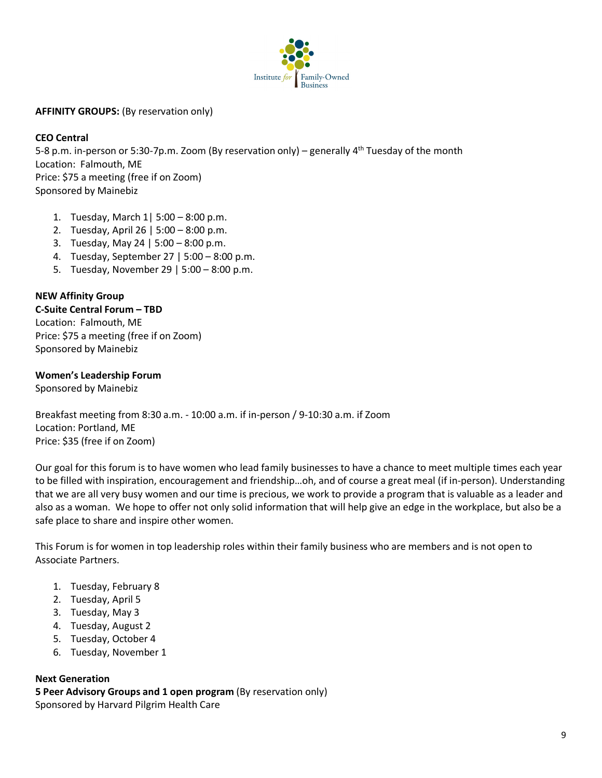

**AFFINITY GROUPS:** (By reservation only)

### **CEO Central**

5-8 p.m. in-person or 5:30-7p.m. Zoom (By reservation only) – generally  $4^{th}$  Tuesday of the month Location: Falmouth, ME Price: \$75 a meeting (free if on Zoom) Sponsored by Mainebiz

- 1. Tuesday, March 1| 5:00 8:00 p.m.
- 2. Tuesday, April 26 | 5:00 8:00 p.m.
- 3. Tuesday, May 24 | 5:00 8:00 p.m.
- 4. Tuesday, September 27 | 5:00 8:00 p.m.
- 5. Tuesday, November 29 | 5:00 8:00 p.m.

### **NEW Affinity Group**

#### **C-Suite Central Forum – TBD**

Location: Falmouth, ME Price: \$75 a meeting (free if on Zoom) Sponsored by Mainebiz

### **Women's Leadership Forum**

Sponsored by Mainebiz

Breakfast meeting from 8:30 a.m. - 10:00 a.m. if in-person / 9-10:30 a.m. if Zoom Location: Portland, ME Price: \$35 (free if on Zoom)

Our goal for this forum is to have women who lead family businesses to have a chance to meet multiple times each year to be filled with inspiration, encouragement and friendship…oh, and of course a great meal (if in-person). Understanding that we are all very busy women and our time is precious, we work to provide a program that is valuable as a leader and also as a woman. We hope to offer not only solid information that will help give an edge in the workplace, but also be a safe place to share and inspire other women.

This Forum is for women in top leadership roles within their family business who are members and is not open to Associate Partners.

- 1. Tuesday, February 8
- 2. Tuesday, April 5
- 3. Tuesday, May 3
- 4. Tuesday, August 2
- 5. Tuesday, October 4
- 6. Tuesday, November 1

### **Next Generation**

**5 Peer Advisory Groups and 1 open program** (By reservation only) Sponsored by Harvard Pilgrim Health Care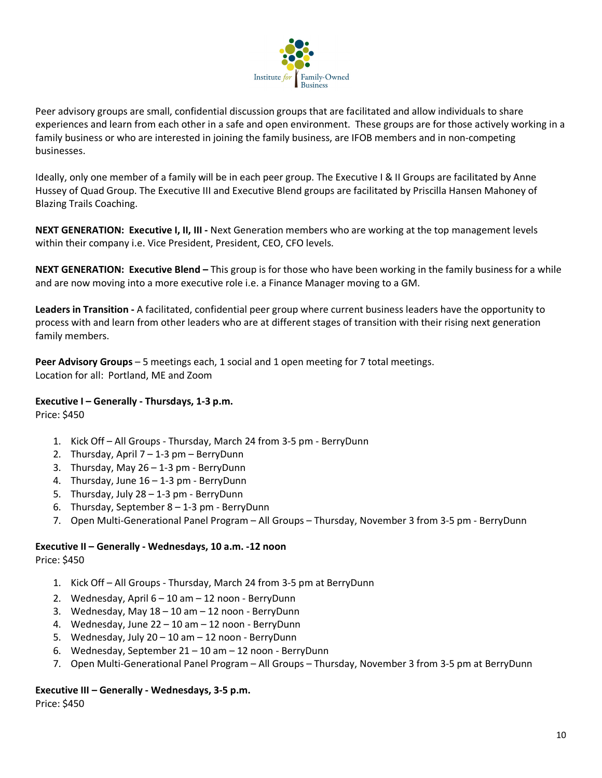

Peer advisory groups are small, confidential discussion groups that are facilitated and allow individuals to share experiences and learn from each other in a safe and open environment. These groups are for those actively working in a family business or who are interested in joining the family business, are IFOB members and in non-competing businesses.

Ideally, only one member of a family will be in each peer group. The Executive I & II Groups are facilitated by Anne Hussey of Quad Group. The Executive III and Executive Blend groups are facilitated by Priscilla Hansen Mahoney of Blazing Trails Coaching.

**NEXT GENERATION: Executive I, II, III -** Next Generation members who are working at the top management levels within their company i.e. Vice President, President, CEO, CFO levels.

**NEXT GENERATION: Executive Blend –** This group is for those who have been working in the family business for a while and are now moving into a more executive role i.e. a Finance Manager moving to a GM.

**Leaders in Transition -** A facilitated, confidential peer group where current business leaders have the opportunity to process with and learn from other leaders who are at different stages of transition with their rising next generation family members.

**Peer Advisory Groups** – 5 meetings each, 1 social and 1 open meeting for 7 total meetings. Location for all: Portland, ME and Zoom

# **Executive I – Generally - Thursdays, 1-3 p.m.**

Price: \$450

- 1. Kick Off All Groups Thursday, March 24 from 3-5 pm BerryDunn
- 2. Thursday, April 7 1-3 pm BerryDunn
- 3. Thursday, May 26 1-3 pm BerryDunn
- 4. Thursday, June 16 1-3 pm BerryDunn
- 5. Thursday, July 28 1-3 pm BerryDunn
- 6. Thursday, September 8 1-3 pm BerryDunn
- 7. Open Multi-Generational Panel Program All Groups Thursday, November 3 from 3-5 pm BerryDunn

### **Executive II – Generally - Wednesdays, 10 a.m. -12 noon**

Price: \$450

- 1. Kick Off All Groups Thursday, March 24 from 3-5 pm at BerryDunn
- 2. Wednesday, April 6 10 am 12 noon BerryDunn
- 3. Wednesday, May 18 10 am 12 noon BerryDunn
- 4. Wednesday, June 22 10 am 12 noon BerryDunn
- 5. Wednesday, July 20 10 am 12 noon BerryDunn
- 6. Wednesday, September 21 10 am 12 noon BerryDunn
- 7. Open Multi-Generational Panel Program All Groups Thursday, November 3 from 3-5 pm at BerryDunn

### **Executive III – Generally - Wednesdays, 3-5 p.m.**

Price: \$450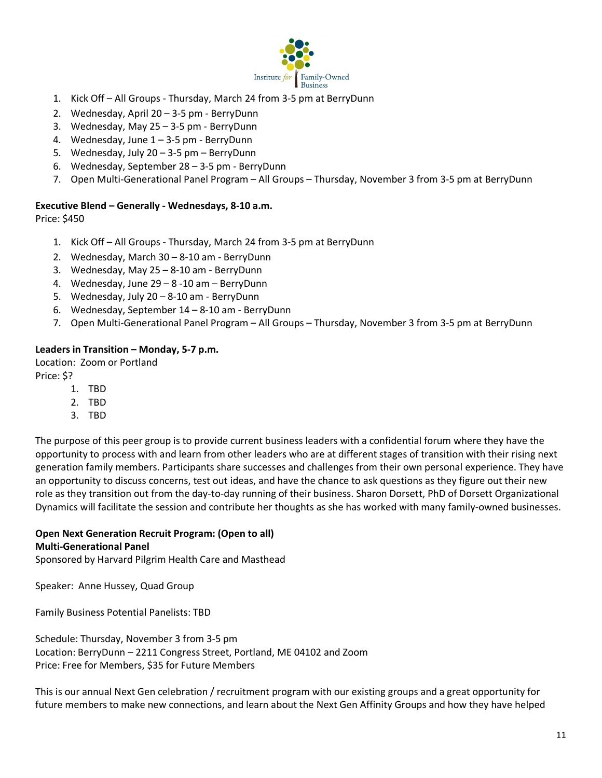

- 1. Kick Off All Groups Thursday, March 24 from 3-5 pm at BerryDunn
- 2. Wednesday, April 20 3-5 pm BerryDunn
- 3. Wednesday, May 25 3-5 pm BerryDunn
- 4. Wednesday, June 1 3-5 pm BerryDunn
- 5. Wednesday, July 20 3-5 pm BerryDunn
- 6. Wednesday, September 28 3-5 pm BerryDunn
- 7. Open Multi-Generational Panel Program All Groups Thursday, November 3 from 3-5 pm at BerryDunn

### **Executive Blend – Generally - Wednesdays, 8-10 a.m.**

Price: \$450

- 1. Kick Off All Groups Thursday, March 24 from 3-5 pm at BerryDunn
- 2. Wednesday, March 30 8-10 am BerryDunn
- 3. Wednesday, May 25 8-10 am BerryDunn
- 4. Wednesday, June 29 8 -10 am BerryDunn
- 5. Wednesday, July 20 8-10 am BerryDunn
- 6. Wednesday, September 14 8-10 am BerryDunn
- 7. Open Multi-Generational Panel Program All Groups Thursday, November 3 from 3-5 pm at BerryDunn

### **Leaders in Transition – Monday, 5-7 p.m.**

Location: Zoom or Portland Price: \$?

- 1. TBD
- 2. TBD
- 3. TBD

The purpose of this peer group is to provide current business leaders with a confidential forum where they have the opportunity to process with and learn from other leaders who are at different stages of transition with their rising next generation family members. Participants share successes and challenges from their own personal experience. They have an opportunity to discuss concerns, test out ideas, and have the chance to ask questions as they figure out their new role as they transition out from the day-to-day running of their business. Sharon Dorsett, PhD of Dorsett Organizational Dynamics will facilitate the session and contribute her thoughts as she has worked with many family-owned businesses.

# **Open Next Generation Recruit Program: (Open to all)**

### **Multi-Generational Panel**

Sponsored by Harvard Pilgrim Health Care and Masthead

Speaker: Anne Hussey, Quad Group

Family Business Potential Panelists: TBD

Schedule: Thursday, November 3 from 3-5 pm Location: BerryDunn – 2211 Congress Street, Portland, ME 04102 and Zoom Price: Free for Members, \$35 for Future Members

This is our annual Next Gen celebration / recruitment program with our existing groups and a great opportunity for future members to make new connections, and learn about the Next Gen Affinity Groups and how they have helped